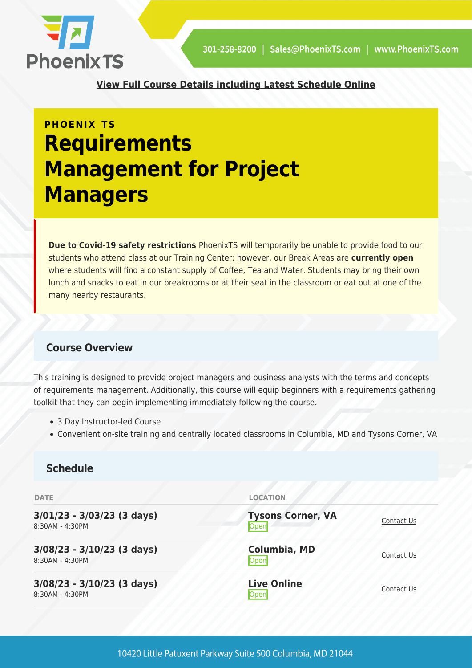

**[View Full Course Details including Latest Schedule Online](https://phoenixts.com/training-courses/requirements-management-for-project-managers/)**

# **PHOENIX TS Requirements Management for Project Managers**

**Due to Covid-19 safety restrictions** PhoenixTS will temporarily be unable to provide food to our students who attend class at our Training Center; however, our Break Areas are **currently open** where students will find a constant supply of Coffee, Tea and Water. Students may bring their own lunch and snacks to eat in our breakrooms or at their seat in the classroom or eat out at one of the many nearby restaurants.

## **Course Overview**

This training is designed to provide project managers and business analysts with the terms and concepts of requirements management. Additionally, this course will equip beginners with a requirements gathering toolkit that they can begin implementing immediately following the course.

- 3 Day Instructor-led Course
- Convenient on-site training and centrally located classrooms in Columbia, MD and Tysons Corner, VA

## **Schedule**

| <b>DATE</b>                                     | <b>LOCATION</b>                  |            |
|-------------------------------------------------|----------------------------------|------------|
| $3/01/23 - 3/03/23$ (3 days)<br>8:30AM - 4:30PM | <b>Tysons Corner, VA</b><br>Open | Contact Us |
| $3/08/23 - 3/10/23$ (3 days)<br>8:30AM - 4:30PM | Columbia, MD<br>Open             | Contact Us |
| $3/08/23 - 3/10/23$ (3 days)<br>8:30AM - 4:30PM | <b>Live Online</b><br>Open       | Contact Us |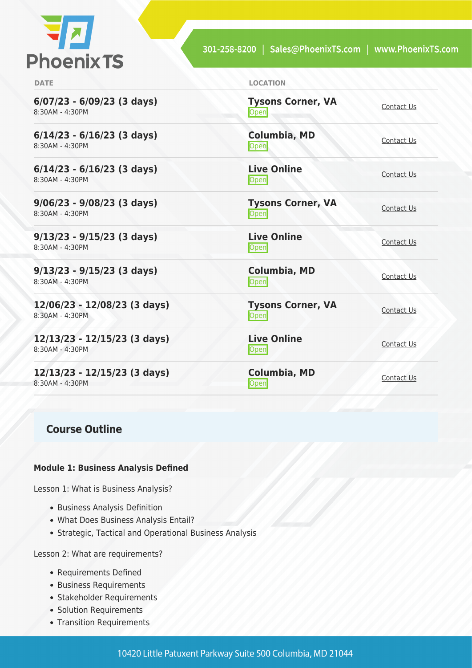

**6/07/23 - 6/09/23 (3 days)** 8:30AM - 4:30PM

**6/14/23 - 6/16/23 (3 days)** 8:30AM - 4:30PM

**6/14/23 - 6/16/23 (3 days)** 8:30AM - 4:30PM

**9/06/23 - 9/08/23 (3 days)** 8:30AM - 4:30PM

**9/13/23 - 9/15/23 (3 days)** 8:30AM - 4:30PM

**9/13/23 - 9/15/23 (3 days)** 8:30AM - 4:30PM

**12/06/23 - 12/08/23 (3 days)** 8:30AM - 4:30PM

**12/13/23 - 12/15/23 (3 days)** 8:30AM - 4:30PM

**12/13/23 - 12/15/23 (3 days)** 8:30AM - 4:30PM

### **Course Outline**

#### **Module 1: Business Analysis Defined**

Lesson 1: What is Business Analysis?

- Business Analysis Definition
- What Does Business Analysis Entail?
- Strategic, Tactical and Operational Business Analysis

Lesson 2: What are requirements?

- Requirements Defined
- Business Requirements
- Stakeholder Requirements
- Solution Requirements
- Transition Requirements

**DATE LOCATION**

**Tysons Corner, VA Open** [Contact Us](https://phoenixts.com/schedule/more-info/?class=30496)

**Columbia, MD** <u>Open</u> [Contact Us](https://phoenixts.com/schedule/more-info/?class=30503)

**Live Online** <u>[Contact Us](https://phoenixts.com/schedule/more-info/?class=30505)</u><br>Open

**Tysons Corner, VA** <u>Open</u>

**Live Online** <u>[Contact Us](https://phoenixts.com/schedule/more-info/?class=30499)</u>

**Columbia, MD [Contact Us](https://phoenixts.com/schedule/more-info/?class=30500)**<br>
Open

**Tysons Corner, VA Open** [Contact Us](https://phoenixts.com/schedule/more-info/?class=30495) Contact Us

**Live Online** <u>[Contact Us](https://phoenixts.com/schedule/more-info/?class=30498)</u><br>Open

**Columbia, MD [Contact Us](https://phoenixts.com/schedule/more-info/?class=30501)**<br>
Open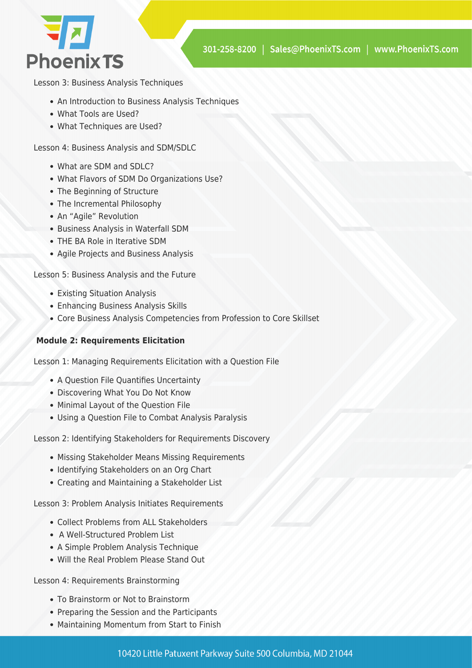

Lesson 3: Business Analysis Techniques

- An Introduction to Business Analysis Techniques
- What Tools are Used?
- What Techniques are Used?

Lesson 4: Business Analysis and SDM/SDLC

- What are SDM and SDLC?
- What Flavors of SDM Do Organizations Use?
- The Beginning of Structure
- The Incremental Philosophy
- An "Agile" Revolution
- Business Analysis in Waterfall SDM
- THE BA Role in Iterative SDM
- Agile Projects and Business Analysis

Lesson 5: Business Analysis and the Future

- Existing Situation Analysis
- Enhancing Business Analysis Skills
- Core Business Analysis Competencies from Profession to Core Skillset

#### **Module 2: Requirements Elicitation**

Lesson 1: Managing Requirements Elicitation with a Question File

- A Question File Quantifies Uncertainty
- Discovering What You Do Not Know
- Minimal Layout of the Question File
- Using a Question File to Combat Analysis Paralysis

Lesson 2: Identifying Stakeholders for Requirements Discovery

- Missing Stakeholder Means Missing Requirements
- Identifying Stakeholders on an Org Chart
- Creating and Maintaining a Stakeholder List

Lesson 3: Problem Analysis Initiates Requirements

- Collect Problems from ALL Stakeholders
- A Well-Structured Problem List
- A Simple Problem Analysis Technique
- Will the Real Problem Please Stand Out

Lesson 4: Requirements Brainstorming

- To Brainstorm or Not to Brainstorm
- Preparing the Session and the Participants
- Maintaining Momentum from Start to Finish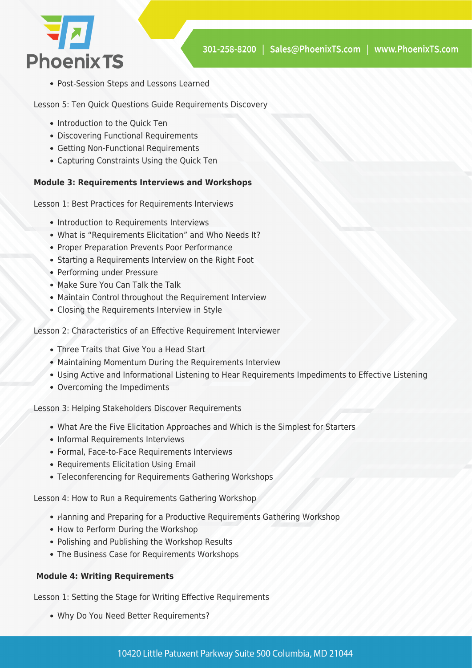

Post-Session Steps and Lessons Learned

Lesson 5: Ten Quick Questions Guide Requirements Discovery

- Introduction to the Ouick Ten
- Discovering Functional Requirements
- Getting Non-Functional Requirements
- Capturing Constraints Using the Quick Ten

#### **Module 3: Requirements Interviews and Workshops**

Lesson 1: Best Practices for Requirements Interviews

- Introduction to Requirements Interviews
- What is "Requirements Elicitation" and Who Needs It?
- Proper Preparation Prevents Poor Performance
- Starting a Requirements Interview on the Right Foot
- Performing under Pressure
- Make Sure You Can Talk the Talk
- Maintain Control throughout the Requirement Interview
- Closing the Requirements Interview in Style

Lesson 2: Characteristics of an Effective Requirement Interviewer

- Three Traits that Give You a Head Start
- Maintaining Momentum During the Requirements Interview
- Using Active and Informational Listening to Hear Requirements Impediments to Effective Listening
- Overcoming the Impediments

Lesson 3: Helping Stakeholders Discover Requirements

- What Are the Five Elicitation Approaches and Which is the Simplest for Starters
- Informal Requirements Interviews
- Formal, Face-to-Face Requirements Interviews
- Requirements Elicitation Using Email
- Teleconferencing for Requirements Gathering Workshops

Lesson 4: How to Run a Requirements Gathering Workshop

- Planning and Preparing for a Productive Requirements Gathering Workshop
- How to Perform During the Workshop
- Polishing and Publishing the Workshop Results
- The Business Case for Requirements Workshops

#### **Module 4: Writing Requirements**

Lesson 1: Setting the Stage for Writing Effective Requirements

Why Do You Need Better Requirements?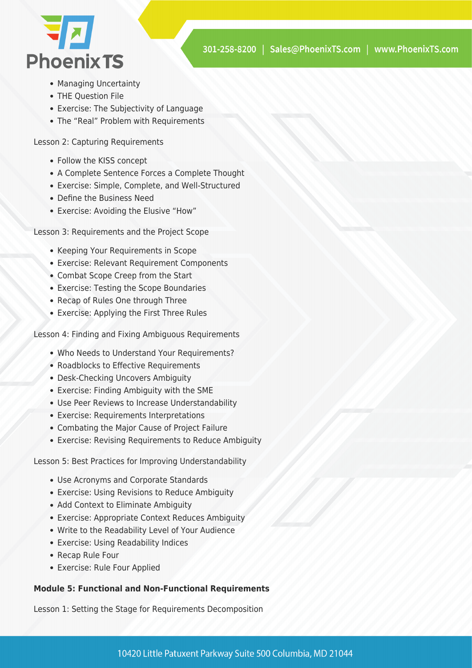

- Managing Uncertainty
- THE Question File
- Exercise: The Subjectivity of Language
- The "Real" Problem with Requirements

Lesson 2: Capturing Requirements

- Follow the KISS concept
- A Complete Sentence Forces a Complete Thought
- Exercise: Simple, Complete, and Well-Structured
- Define the Business Need
- Exercise: Avoiding the Elusive "How"

Lesson 3: Requirements and the Project Scope

- Keeping Your Requirements in Scope
- Exercise: Relevant Requirement Components
- Combat Scope Creep from the Start
- Exercise: Testing the Scope Boundaries
- Recap of Rules One through Three
- Exercise: Applying the First Three Rules

Lesson 4: Finding and Fixing Ambiguous Requirements

- Who Needs to Understand Your Requirements?
- Roadblocks to Effective Requirements
- Desk-Checking Uncovers Ambiguity
- Exercise: Finding Ambiguity with the SME
- Use Peer Reviews to Increase Understandability
- Exercise: Requirements Interpretations
- Combating the Major Cause of Project Failure
- Exercise: Revising Requirements to Reduce Ambiguity

Lesson 5: Best Practices for Improving Understandability

- Use Acronyms and Corporate Standards
- Exercise: Using Revisions to Reduce Ambiguity
- Add Context to Eliminate Ambiguity
- Exercise: Appropriate Context Reduces Ambiguity
- Write to the Readability Level of Your Audience
- Exercise: Using Readability Indices
- Recap Rule Four
- Exercise: Rule Four Applied

#### **Module 5: Functional and Non-Functional Requirements**

Lesson 1: Setting the Stage for Requirements Decomposition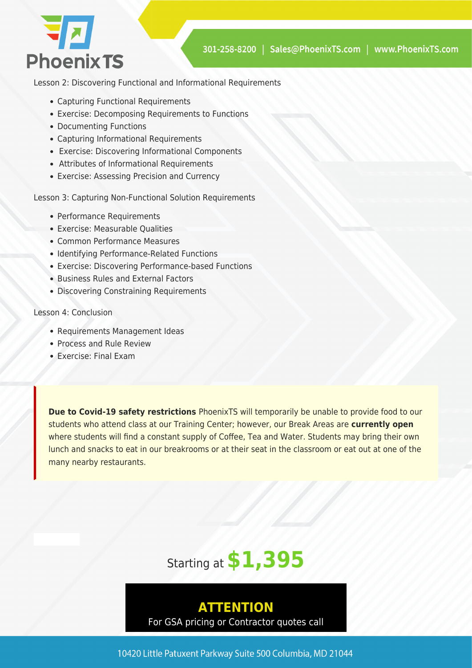

Lesson 2: Discovering Functional and Informational Requirements

- Capturing Functional Requirements
- Exercise: Decomposing Requirements to Functions
- Documenting Functions
- Capturing Informational Requirements
- Exercise: Discovering Informational Components
- Attributes of Informational Requirements
- Exercise: Assessing Precision and Currency

Lesson 3: Capturing Non-Functional Solution Requirements

- Performance Requirements
- Exercise: Measurable Qualities
- Common Performance Measures
- Identifying Performance-Related Functions
- Exercise: Discovering Performance-based Functions
- Business Rules and External Factors
- Discovering Constraining Requirements

#### Lesson 4: Conclusion

- Requirements Management Ideas
- Process and Rule Review
- Exercise: Final Exam

**Due to Covid-19 safety restrictions** PhoenixTS will temporarily be unable to provide food to our students who attend class at our Training Center; however, our Break Areas are **currently open** where students will find a constant supply of Coffee, Tea and Water. Students may bring their own lunch and snacks to eat in our breakrooms or at their seat in the classroom or eat out at one of the many nearby restaurants.



# **ATTENTION**

For GSA pricing or Contractor quotes call

10420 Little Patuxent Parkway Suite 500 Columbia, MD 21044